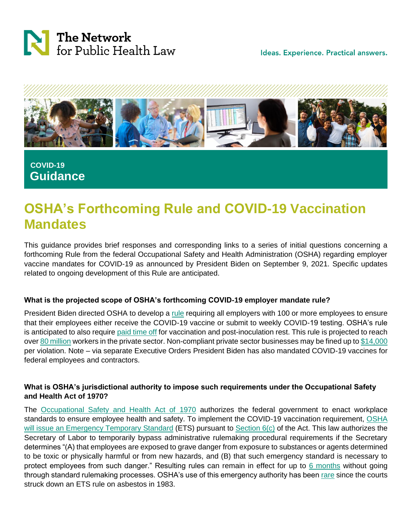



 **COVID-19 Guidance**

# **OSHA's Forthcoming Rule and COVID-19 Vaccination Mandates**

This guidance provides brief responses and corresponding links to a series of initial questions concerning a forthcoming Rule from the federal Occupational Safety and Health Administration (OSHA) regarding employer vaccine mandates for COVID-19 as announced by President Biden on September 9, 2021. Specific updates related to ongoing development of this Rule are anticipated.

### **What is the projected scope of OSHA's forthcoming COVID-19 employer mandate rule?**

President Biden directed OSHA to develop a [rule](https://www.whitehouse.gov/covidplan/) requiring all employers with 100 or more employees to ensure that their employees either receive the COVID-19 vaccine or submit to weekly COVID-19 testing. OSHA's rule is anticipated to also require [paid time off](https://www.whitehouse.gov/covidplan/) for vaccination and post-inoculation rest. This rule is projected to reach ove[r 80 million](https://www.whitehouse.gov/covidplan/) workers in the private sector. Non-compliant private sector businesses may be fined up t[o \\$14,000](https://apnews.com/article/joe-biden-business-health-coronavirus-pandemic-executive-branch-18fb12993f05be13bf760946a6fb89be) per violation. Note – via separate Executive Orders President Biden has also mandated COVID-19 vaccines for federal employees and contractors.

## **What is OSHA's jurisdictional authority to impose such requirements under the Occupational Safety and Health Act of 1970?**

The [Occupational Safety and Health Act of 1970](https://www.osha.gov/laws-regs/oshact/toc) authorizes the federal government to enact workplace standards to ensure employee health and safety. To implement the COVID-19 vaccination requirement, [OSHA](https://www.whitehouse.gov/covidplan/)  [will issue an Emergency Temporary Standard](https://www.whitehouse.gov/covidplan/) (ETS) pursuant to [Section 6\(c\)](https://www.osha.gov/laws-regs/oshact/section_6) of the Act. This law authorizes the Secretary of Labor to temporarily bypass administrative rulemaking procedural requirements if the Secretary determines "(A) that employees are exposed to grave danger from exposure to substances or agents determined to be toxic or physically harmful or from new hazards, and (B) that such emergency standard is necessary to protect employees from such danger." Resulting rules can remain in effect for up to [6 months](https://www.osha.gov/laws-regs/oshact/section_6) without going through standard rulemaking processes. OSHA's use of this emergency authority has been [rare](https://crsreports.congress.gov/product/pdf/R/R46288) since the courts struck down an ETS rule on asbestos in 1983.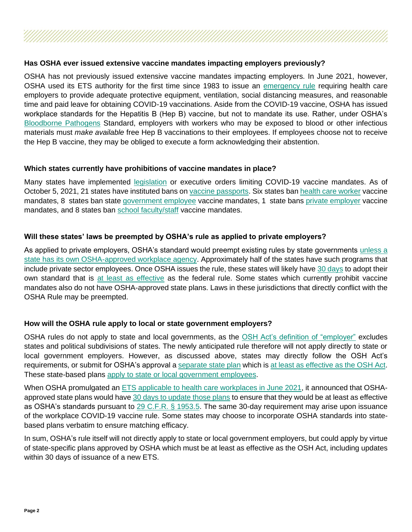## **Has OSHA ever issued extensive vaccine mandates impacting employers previously?**

OSHA has not previously issued extensive vaccine mandates impacting employers. In June 2021, however, OSHA used its ETS authority for the first time since 1983 to issue an [emergency rule](https://www.osha.gov/laws-regs/federalregister/2021-06-21) requiring health care employers to provide adequate protective equipment, ventilation, social distancing measures, and reasonable time and paid leave for obtaining COVID-19 vaccinations. Aside from the COVID-19 vaccine, OSHA has issued workplace standards for the Hepatitis B (Hep B) vaccine, but not to mandate its use. Rather, under OSHA's [Bloodborne Pathogens](https://www.osha.gov/laws-regs/regulations/standardnumber/1910/1910.1030) Standard, employers with workers who may be exposed to blood or other infectious materials must *make available* free Hep B vaccinations to their employees. If employees choose not to receive the Hep B vaccine, they may be obliged to execute a form acknowledging their abstention.

#### **Which states currently have prohibitions of vaccine mandates in place?**

Many states have implemented [legislation](https://www.nashp.org/state-lawmakers-submit-bills-to-ban-employer-vaccine-mandates/) or executive orders limiting COVID-19 vaccine mandates. As of October 5, 2021, 21 states have instituted bans o[n vaccine passports.](https://www.nashp.org/state-lawmakers-submit-bills-to-ban-employer-vaccine-mandates/) Six states ban [health care worker](https://www.nashp.org/state-lawmakers-submit-bills-to-ban-employer-vaccine-mandates/) vaccine mandates, 8 states ban state [government employee](https://www.nashp.org/state-lawmakers-submit-bills-to-ban-employer-vaccine-mandates/) vaccine mandates, 1 state bans [private employer](https://www.nashp.org/state-lawmakers-submit-bills-to-ban-employer-vaccine-mandates/) vaccine mandates, and 8 states ban [school faculty/staff](https://www.nashp.org/state-lawmakers-submit-bills-to-ban-employer-vaccine-mandates/) vaccine mandates.

### **Will these states' laws be preempted by OSHA's rule as applied to private employers?**

As applied to private employers, OSHA's standard would preempt existing rules by state governments unless a [state has its own OSHA-approved workplace agency.](https://www.osha.gov/stateplans) Approximately half of the states have such programs that include private sector employees. Once OSHA issues the rule, these states will likely have 30 [days](https://www.osha.gov/sites/default/files/enforcement/directives/CSP_01-00-005.pdf) to adopt their own standard that is [at least as effective](https://www.osha.gov/stateplans/faqs) as the federal rule. Some states which currently prohibit vaccine mandates also do not have OSHA-approved state plans. Laws in these jurisdictions that directly conflict with the OSHA Rule may be preempted.

### **How will the OSHA rule apply to local or state government employers?**

OSHA rules do not apply to state and local governments, as the [OSH Act's definition of "employer"](https://www.osha.gov/laws-regs/oshact/section_3) excludes states and political subdivisions of states. The newly anticipated rule therefore will not apply directly to state or local government employers. However, as discussed above, states may directly follow the OSH Act's requirements, or submit for OSHA's approval a [separate state plan](https://www.osha.gov/stateplans/) which is [at least as effective as the OSH Act.](https://www.osha.gov/laws-regs/oshact/section_18) These state-based plans [apply to state or local government employees.](https://www.osha.gov/stateplans/)

When OSHA promulgated an **ETS** [applicable to health care workplaces in June 2021,](https://www.osha.gov/coronavirus/ets) it announced that OSHA-approved state plans would have [30 days to update those plans](https://www.osha.gov/coronavirus/ets/faqs#:~:text=Adoption%20of%20the%20ETS%20by,duration%20of%20the%20Federal%20ETS.) to ensure that they would be at least as effective as OSHA's standards pursuant to [29 C.F.R. §](https://www.law.cornell.edu/cfr/text/29/1953.5) 1953.5. The same 30-day requirement may arise upon issuance of the workplace COVID-19 vaccine rule. Some states may choose to incorporate OSHA standards into statebased plans verbatim to ensure matching efficacy.

In sum, OSHA's rule itself will not directly apply to state or local government employers, but could apply by virtue of state-specific plans approved by OSHA which must be at least as effective as the OSH Act, including updates within 30 days of issuance of a new ETS.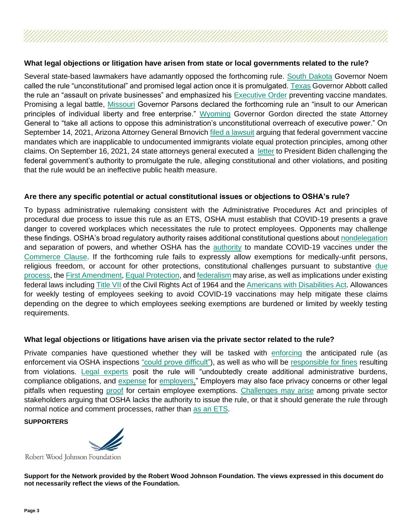## **What legal objections or litigation have arisen from state or local governments related to the rule?**

Several state-based lawmakers have adamantly opposed the forthcoming rule. [South Dakota](https://twitter.com/KristiNoem/status/1436064909654167558?ref_src=twsrc%5Etfw%7Ctwcamp%5Etweetembed%7Ctwterm%5E1436064909654167558%7Ctwgr%5E%7Ctwcon%5Es1_&ref_url=https%3A%2F%2Fwww.foxnews.com%2Fpolitics%2Frepublicans-respond-to-vaccine-mandates-issued-by-biden-absolutely-unconstitutional) Governor Noem called the rule "unconstitutional" and promised legal action once it is promulgated[. Texas](https://twitter.com/GregAbbott_TX/status/1436104824660049921) Governor Abbott called the rule an "assault on private businesses" and emphasized his **Executive Order preventing vaccine mandates**. Promising a legal battle, [Missouri](https://governor.mo.gov/press-releases/archive/governor-parson-condemns-biden-administrations-vaccine-mandate-vows-legal) Governor Parsons declared the forthcoming rule an "insult to our American principles of individual liberty and free enterprise." [Wyoming](https://twitter.com/governorgordon/status/1436092156163223554) Governor Gordon directed the state Attorney General to "take all actions to oppose this administration's unconstitutional overreach of executive power." On September 14, 2021, Arizona Attorney General Brnovich [filed a lawsuit](https://www.azag.gov/sites/default/files/docs/press-releases/2021/complaints/Vaccine_Equal_Protection_Complaint_FINAL.pdf) arguing that federal government vaccine mandates which are inapplicable to undocumented immigrants violate equal protection principles, among other claims. On September 16, 2021, 24 state attorneys general executed a [letter](https://ago.wv.gov/Documents/AGs) to President Biden challenging the federal government's authority to promulgate the rule, alleging constitutional and other violations, and positing that the rule would be an ineffective public health measure.

### **Are there any specific potential or actual constitutional issues or objections to OSHA's rule?**

To bypass administrative rulemaking consistent with the Administrative Procedures Act and principles of procedural due process to issue this rule as an ETS, OSHA must establish that COVID-19 presents a grave danger to covered workplaces which necessitates the rule to protect employees. Opponents may challenge these findings. OSHA's broad regulatory authority raises additional constitutional questions about [nondelegation](https://chicagounbound.uchicago.edu/cgi/viewcontent.cgi?article=1288&context=law_and_economics) and separation of powers, and whether OSHA has the [authority](https://www.usatoday.com/story/news/politics/2021/09/10/bidens-covid-vaccine-mandate-law-enforceable/8273693002/) to mandate COVID-19 vaccines under the [Commerce Clause.](https://www.law.cornell.edu/wex/commerce_clause) If the forthcoming rule fails to expressly allow exemptions for medically-unfit persons, religious freedom, or account for other protections, constitutional challenges pursuant to substantive due [process,](https://www.law.cornell.edu/constitution/amendmentxiv) the [First Amendment,](https://www.law.cornell.edu/constitution/first_amendment) [Equal Protection,](file:///C:/Users/nwell/Downloads/Title%20VII) and [federalism](https://www.law.cornell.edu/constitution/tenth_amendment) may arise, as well as implications under existing federal laws including [Title VII](https://www.dol.gov/agencies/oasam/centers-offices/civil-rights-center/statutes/title-vii-civil-rights-act-of-1964) of the Civil Rights Act of 1964 and th[e Americans with Disabilities Act.](https://www.dol.gov/general/topic/disability/ada) Allowances for weekly testing of employees seeking to avoid COVID-19 vaccinations may help mitigate these claims depending on the degree to which employees seeking exemptions are burdened or limited by weekly testing requirements.

### **What legal objections or litigations have arisen via the private sector related to the rule?**

Private companies have questioned whether they will be tasked with [enforcing](https://www.nytimes.com/2021/09/13/business/biden-vaccine-mandate-questions.html) the anticipated rule (as enforcement via OSHA inspections ["could prove difficult"\)](https://www.washingtonpost.com/business/2021/09/10/osha-vaccine-mandate-companies-biden/), as well as who will be [responsible for fines](https://www.jdsupra.com/legalnews/president-biden-mandates-covid-1066264/?) resulting from violations. [Legal experts](https://www.jdsupra.com/legalnews/president-biden-mandates-covid-1066264/?) posit the rule will "undoubtedly create additional administrative burdens, compliance obligations, and [expense](https://www.washingtonpost.com/business/2021/09/10/osha-vaccine-mandate-companies-biden/) for [employers.](https://www.jdsupra.com/legalnews/president-biden-issues-expansive-plan-4252603/)" Employers may also face privacy concerns or other legal pitfalls when requesting [proof](https://www.shrm.org/resourcesandtools/legal-and-compliance/employment-law/pages/what-to-expect-from-osha-on-covid-19-vaccine-and-testing-rules.aspx) for certain employee exemptions. [Challenges may arise](https://www.cbsnews.com/news/biden-vaccine-mandate-court-lawsuits/) among private sector stakeholders arguing that OSHA lacks the authority to issue the rule, or that it should generate the rule through normal notice and comment processes, rather than [as an ETS.](https://www.washingtonpost.com/business/2021/09/10/osha-vaccine-mandate-companies-biden/)

**SUPPORTERS**



Robert Wood Johnson Foundation

**Support for the Network provided by the Robert Wood Johnson Foundation. The views expressed in this document do not necessarily reflect the views of the Foundation.**